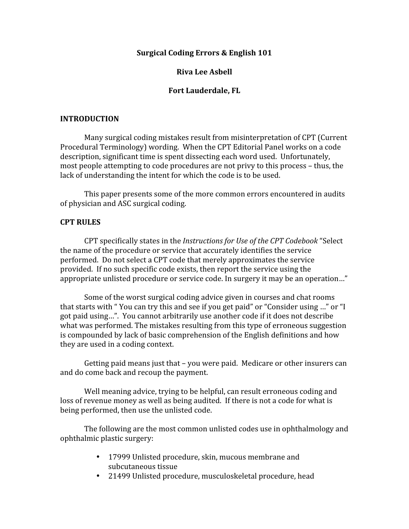### **Surgical Coding Errors & English 101**

### **Riva Lee Asbell**

### **Fort Lauderdale, FL**

#### **INTRODUCTION**

Many surgical coding mistakes result from misinterpretation of CPT (Current Procedural Terminology) wording. When the CPT Editorial Panel works on a code description, significant time is spent dissecting each word used. Unfortunately, most people attempting to code procedures are not privy to this process – thus, the lack of understanding the intent for which the code is to be used.

This paper presents some of the more common errors encountered in audits of physician and ASC surgical coding.

### **CPT RULES**

CPT specifically states in the *Instructions for Use of the CPT Codebook* "Select the name of the procedure or service that accurately identifies the service performed. Do not select a CPT code that merely approximates the service provided. If no such specific code exists, then report the service using the appropriate unlisted procedure or service code. In surgery it may be an operation…"

Some of the worst surgical coding advice given in courses and chat rooms that starts with " You can try this and see if you get paid" or "Consider using …" or "I got paid using…". You cannot arbitrarily use another code if it does not describe what was performed. The mistakes resulting from this type of erroneous suggestion is compounded by lack of basic comprehension of the English definitions and how they are used in a coding context.

Getting paid means just that – you were paid. Medicare or other insurers can and do come back and recoup the payment.

Well meaning advice, trying to be helpful, can result erroneous coding and loss of revenue money as well as being audited. If there is not a code for what is being performed, then use the unlisted code.

The following are the most common unlisted codes use in ophthalmology and ophthalmic plastic surgery:

- 17999 Unlisted procedure, skin, mucous membrane and subcutaneous tissue
- 21499 Unlisted procedure, musculoskeletal procedure, head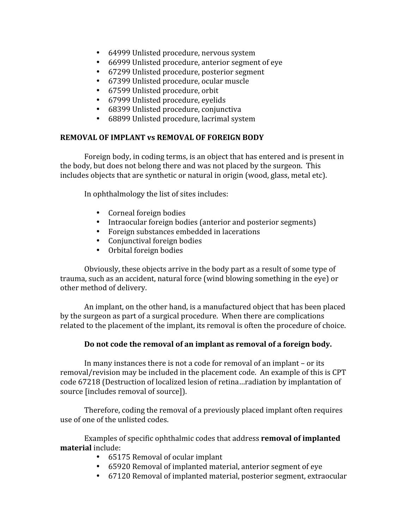- 64999 Unlisted procedure, nervous system
- 66999 Unlisted procedure, anterior segment of eye
- 67299 Unlisted procedure, posterior segment
- 67399 Unlisted procedure, ocular muscle
- 67599 Unlisted procedure, orbit
- 67999 Unlisted procedure, eyelids
- 68399 Unlisted procedure, conjunctiva
- 68899 Unlisted procedure, lacrimal system

# **REMOVAL OF IMPLANT vs REMOVAL OF FOREIGN BODY**

Foreign body, in coding terms, is an object that has entered and is present in the body, but does not belong there and was not placed by the surgeon. This includes objects that are synthetic or natural in origin (wood, glass, metal etc).

In ophthalmology the list of sites includes:

- Corneal foreign bodies
- Intraocular foreign bodies (anterior and posterior segments)
- Foreign substances embedded in lacerations
- Conjunctival foreign bodies
- Orbital foreign bodies

Obviously, these objects arrive in the body part as a result of some type of trauma, such as an accident, natural force (wind blowing something in the eye) or other method of delivery.

An implant, on the other hand, is a manufactured object that has been placed by the surgeon as part of a surgical procedure. When there are complications related to the placement of the implant, its removal is often the procedure of choice.

## **Do not code the removal of an implant as removal of a foreign body.**

In many instances there is not a code for removal of an implant – or its removal/revision may be included in the placement code. An example of this is CPT code 67218 (Destruction of localized lesion of retina…radiation by implantation of source [includes removal of source]).

Therefore, coding the removal of a previously placed implant often requires use of one of the unlisted codes.

Examples of specific ophthalmic codes that address **removal of implanted material** include:

- 65175 Removal of ocular implant
- 65920 Removal of implanted material, anterior segment of eye
- 67120 Removal of implanted material, posterior segment, extraocular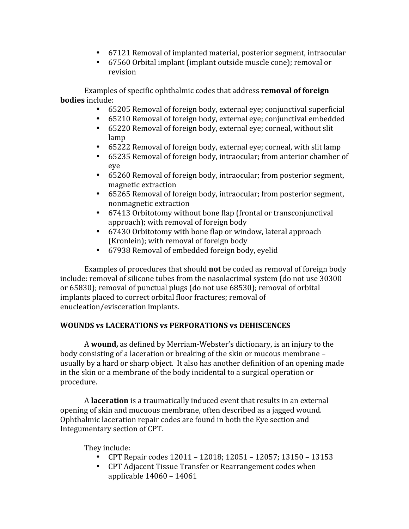- 67121 Removal of implanted material, posterior segment, intraocular
- 67560 Orbital implant (implant outside muscle cone); removal or revision

Examples of specific ophthalmic codes that address **removal of foreign bodies** include:

- 65205 Removal of foreign body, external eye; conjunctival superficial
- 65210 Removal of foreign body, external eye; conjunctival embedded
- 65220 Removal of foreign body, external eye; corneal, without slit lamp
- 65222 Removal of foreign body, external eye; corneal, with slit lamp
- 65235 Removal of foreign body, intraocular; from anterior chamber of eye
- 65260 Removal of foreign body, intraocular; from posterior segment, magnetic extraction
- 65265 Removal of foreign body, intraocular; from posterior segment, nonmagnetic extraction
- 67413 Orbitotomy without bone flap (frontal or transconjunctival approach); with removal of foreign body
- 67430 Orbitotomy with bone flap or window, lateral approach (Kronlein); with removal of foreign body
- 67938 Removal of embedded foreign body, eyelid

Examples of procedures that should **not** be coded as removal of foreign body include: removal of silicone tubes from the nasolacrimal system (do not use 30300 or 65830); removal of punctual plugs (do not use 68530); removal of orbital implants placed to correct orbital floor fractures; removal of enucleation/evisceration implants.

## **WOUNDS vs LACERATIONS vs PERFORATIONS vs DEHISCENCES**

A **wound,** as defined by Merriam‐Webster's dictionary, is an injury to the body consisting of a laceration or breaking of the skin or mucous membrane – usually by a hard or sharp object. It also has another definition of an opening made in the skin or a membrane of the body incidental to a surgical operation or procedure.

A **laceration** is a traumatically induced event that results in an external opening of skin and mucuous membrane, often described as a jagged wound. Ophthalmic laceration repair codes are found in both the Eye section and Integumentary section of CPT.

They include:

- CPT Repair codes 12011 12018; 12051 12057; 13150 13153
- CPT Adjacent Tissue Transfer or Rearrangement codes when applicable 14060 – 14061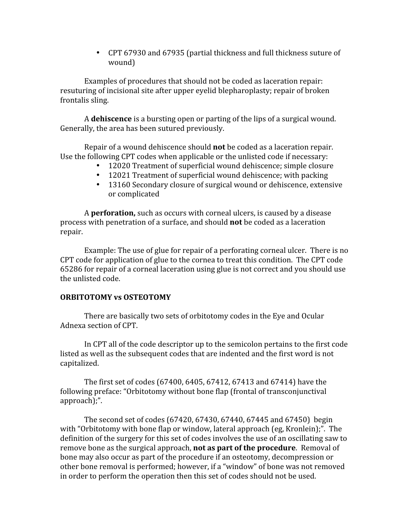• CPT 67930 and 67935 (partial thickness and full thickness suture of wound)

Examples of procedures that should not be coded as laceration repair: resuturing of incisional site after upper eyelid blepharoplasty; repair of broken frontalis sling.

A **dehiscence** is a bursting open or parting of the lips of a surgical wound. Generally, the area has been sutured previously.

Repair of a wound dehiscence should **not** be coded as a laceration repair. Use the following CPT codes when applicable or the unlisted code if necessary:

- 12020 Treatment of superficial wound dehiscence; simple closure
- 12021 Treatment of superficial wound dehiscence; with packing
- 13160 Secondary closure of surgical wound or dehiscence, extensive or complicated

A **perforation,** such as occurs with corneal ulcers, is caused by a disease process with penetration of a surface, and should **not** be coded as a laceration repair.

Example: The use of glue for repair of a perforating corneal ulcer. There is no CPT code for application of glue to the cornea to treat this condition. The CPT code 65286 for repair of a corneal laceration using glue is not correct and you should use the unlisted code.

## **ORBITOTOMY vs OSTEOTOMY**

There are basically two sets of orbitotomy codes in the Eye and Ocular Adnexa section of CPT.

In CPT all of the code descriptor up to the semicolon pertains to the first code listed as well as the subsequent codes that are indented and the first word is not capitalized.

The first set of codes (67400, 6405, 67412, 67413 and 67414) have the following preface: "Orbitotomy without bone flap (frontal of transconjunctival approach);".

The second set of codes (67420, 67430, 67440, 67445 and 67450) begin with "Orbitotomy with bone flap or window, lateral approach (eg, Kronlein);". The definition of the surgery for this set of codes involves the use of an oscillating saw to remove bone as the surgical approach, **not as part of the procedure**. Removal of bone may also occur as part of the procedure if an osteotomy, decompression or other bone removal is performed; however, if a "window" of bone was not removed in order to perform the operation then this set of codes should not be used.